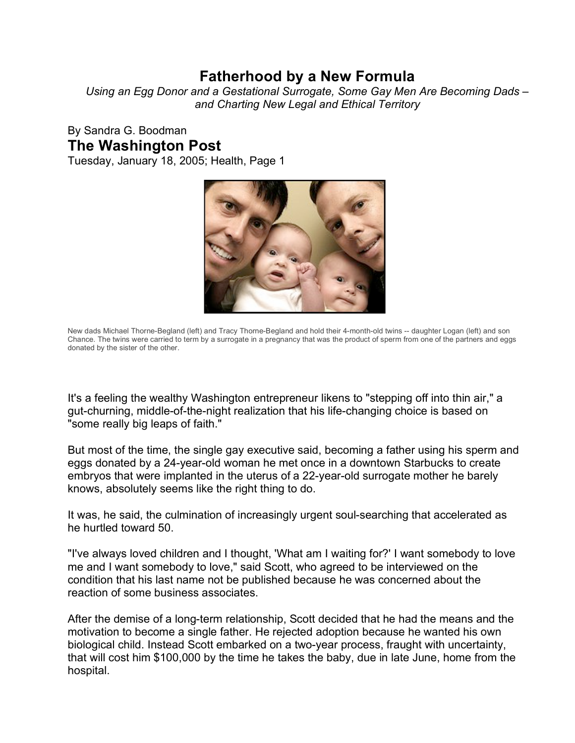# **Fatherhood by a New Formula**

*Using an Egg Donor and a Gestational Surrogate, Some Gay Men Are Becoming Dads – and Charting New Legal and Ethical Territory*

## By Sandra G. Boodman **The Washington Post**

Tuesday, January 18, 2005; Health, Page 1



New dads Michael Thorne-Begland (left) and Tracy Thorne-Begland and hold their 4-month-old twins -- daughter Logan (left) and son Chance. The twins were carried to term by a surrogate in a pregnancy that was the product of sperm from one of the partners and eggs donated by the sister of the other.

It's a feeling the wealthy Washington entrepreneur likens to "stepping off into thin air," a gut-churning, middle-of-the-night realization that his life-changing choice is based on "some really big leaps of faith."

But most of the time, the single gay executive said, becoming a father using his sperm and eggs donated by a 24-year-old woman he met once in a downtown Starbucks to create embryos that were implanted in the uterus of a 22-year-old surrogate mother he barely knows, absolutely seems like the right thing to do.

It was, he said, the culmination of increasingly urgent soul-searching that accelerated as he hurtled toward 50.

"I've always loved children and I thought, 'What am I waiting for?' I want somebody to love me and I want somebody to love," said Scott, who agreed to be interviewed on the condition that his last name not be published because he was concerned about the reaction of some business associates.

After the demise of a long-term relationship, Scott decided that he had the means and the motivation to become a single father. He rejected adoption because he wanted his own biological child. Instead Scott embarked on a two-year process, fraught with uncertainty, that will cost him \$100,000 by the time he takes the baby, due in late June, home from the hospital.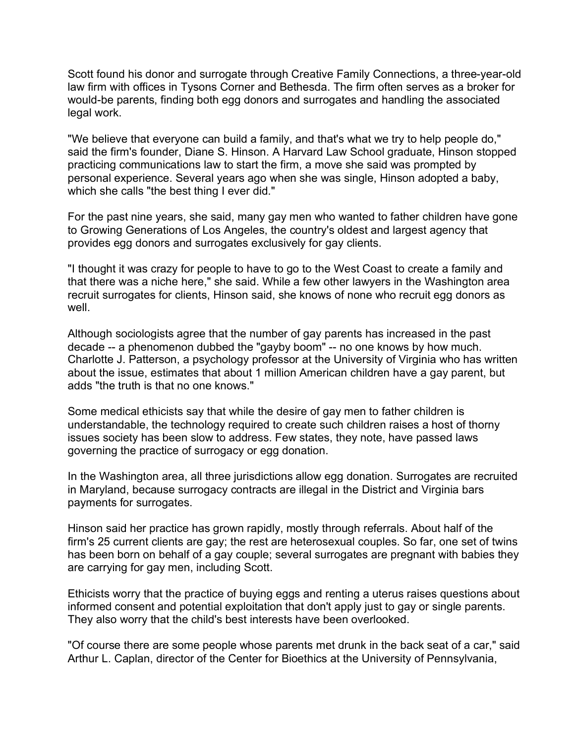Scott found his donor and surrogate through Creative Family Connections, a three-year-old law firm with offices in Tysons Corner and Bethesda. The firm often serves as a broker for would-be parents, finding both egg donors and surrogates and handling the associated legal work.

"We believe that everyone can build a family, and that's what we try to help people do," said the firm's founder, Diane S. Hinson. A Harvard Law School graduate, Hinson stopped practicing communications law to start the firm, a move she said was prompted by personal experience. Several years ago when she was single, Hinson adopted a baby, which she calls "the best thing I ever did."

For the past nine years, she said, many gay men who wanted to father children have gone to Growing Generations of Los Angeles, the country's oldest and largest agency that provides egg donors and surrogates exclusively for gay clients.

"I thought it was crazy for people to have to go to the West Coast to create a family and that there was a niche here," she said. While a few other lawyers in the Washington area recruit surrogates for clients, Hinson said, she knows of none who recruit egg donors as well.

Although sociologists agree that the number of gay parents has increased in the past decade -- a phenomenon dubbed the "gayby boom" -- no one knows by how much. Charlotte J. Patterson, a psychology professor at the University of Virginia who has written about the issue, estimates that about 1 million American children have a gay parent, but adds "the truth is that no one knows."

Some medical ethicists say that while the desire of gay men to father children is understandable, the technology required to create such children raises a host of thorny issues society has been slow to address. Few states, they note, have passed laws governing the practice of surrogacy or egg donation.

In the Washington area, all three jurisdictions allow egg donation. Surrogates are recruited in Maryland, because surrogacy contracts are illegal in the District and Virginia bars payments for surrogates.

Hinson said her practice has grown rapidly, mostly through referrals. About half of the firm's 25 current clients are gay; the rest are heterosexual couples. So far, one set of twins has been born on behalf of a gay couple; several surrogates are pregnant with babies they are carrying for gay men, including Scott.

Ethicists worry that the practice of buying eggs and renting a uterus raises questions about informed consent and potential exploitation that don't apply just to gay or single parents. They also worry that the child's best interests have been overlooked.

"Of course there are some people whose parents met drunk in the back seat of a car," said Arthur L. Caplan, director of the Center for Bioethics at the University of Pennsylvania,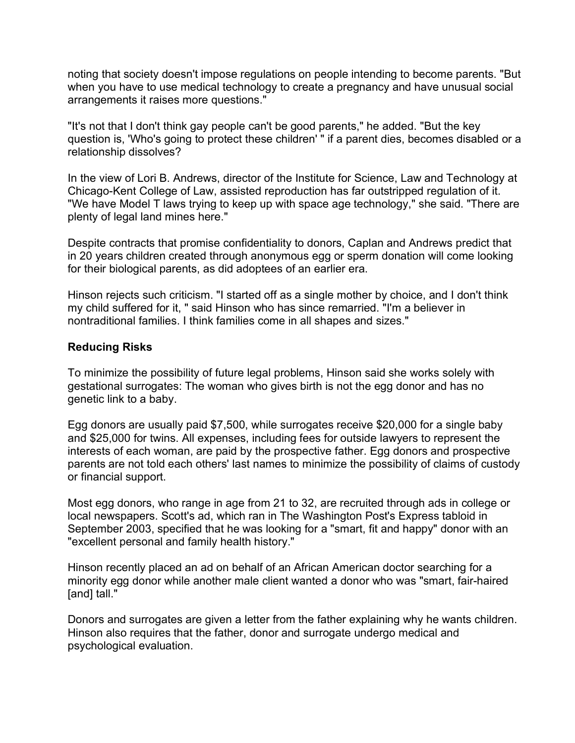noting that society doesn't impose regulations on people intending to become parents. "But when you have to use medical technology to create a pregnancy and have unusual social arrangements it raises more questions."

"It's not that I don't think gay people can't be good parents," he added. "But the key question is, 'Who's going to protect these children' " if a parent dies, becomes disabled or a relationship dissolves?

In the view of Lori B. Andrews, director of the Institute for Science, Law and Technology at Chicago-Kent College of Law, assisted reproduction has far outstripped regulation of it. "We have Model T laws trying to keep up with space age technology," she said. "There are plenty of legal land mines here."

Despite contracts that promise confidentiality to donors, Caplan and Andrews predict that in 20 years children created through anonymous egg or sperm donation will come looking for their biological parents, as did adoptees of an earlier era.

Hinson rejects such criticism. "I started off as a single mother by choice, and I don't think my child suffered for it, " said Hinson who has since remarried. "I'm a believer in nontraditional families. I think families come in all shapes and sizes."

### **Reducing Risks**

To minimize the possibility of future legal problems, Hinson said she works solely with gestational surrogates: The woman who gives birth is not the egg donor and has no genetic link to a baby.

Egg donors are usually paid \$7,500, while surrogates receive \$20,000 for a single baby and \$25,000 for twins. All expenses, including fees for outside lawyers to represent the interests of each woman, are paid by the prospective father. Egg donors and prospective parents are not told each others' last names to minimize the possibility of claims of custody or financial support.

Most egg donors, who range in age from 21 to 32, are recruited through ads in college or local newspapers. Scott's ad, which ran in The Washington Post's Express tabloid in September 2003, specified that he was looking for a "smart, fit and happy" donor with an "excellent personal and family health history."

Hinson recently placed an ad on behalf of an African American doctor searching for a minority egg donor while another male client wanted a donor who was "smart, fair-haired [and] tall."

Donors and surrogates are given a letter from the father explaining why he wants children. Hinson also requires that the father, donor and surrogate undergo medical and psychological evaluation.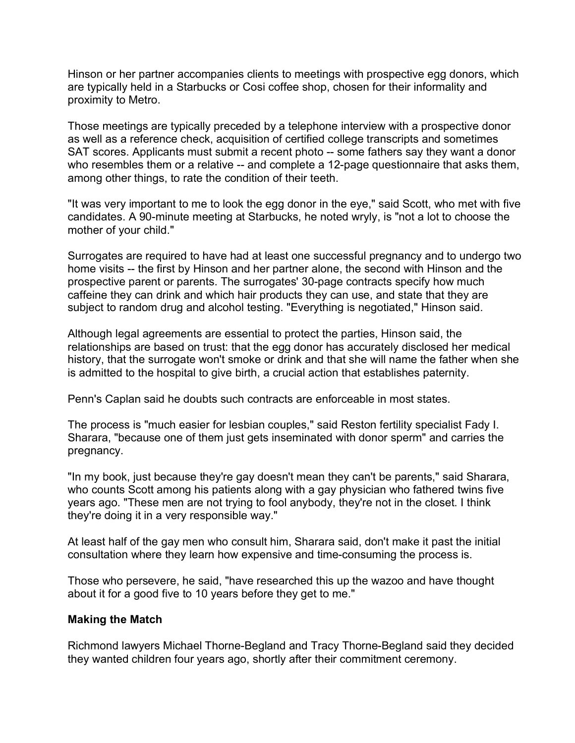Hinson or her partner accompanies clients to meetings with prospective egg donors, which are typically held in a Starbucks or Cosi coffee shop, chosen for their informality and proximity to Metro.

Those meetings are typically preceded by a telephone interview with a prospective donor as well as a reference check, acquisition of certified college transcripts and sometimes SAT scores. Applicants must submit a recent photo -- some fathers say they want a donor who resembles them or a relative -- and complete a 12-page questionnaire that asks them, among other things, to rate the condition of their teeth.

"It was very important to me to look the egg donor in the eye," said Scott, who met with five candidates. A 90-minute meeting at Starbucks, he noted wryly, is "not a lot to choose the mother of your child."

Surrogates are required to have had at least one successful pregnancy and to undergo two home visits -- the first by Hinson and her partner alone, the second with Hinson and the prospective parent or parents. The surrogates' 30-page contracts specify how much caffeine they can drink and which hair products they can use, and state that they are subject to random drug and alcohol testing. "Everything is negotiated," Hinson said.

Although legal agreements are essential to protect the parties, Hinson said, the relationships are based on trust: that the egg donor has accurately disclosed her medical history, that the surrogate won't smoke or drink and that she will name the father when she is admitted to the hospital to give birth, a crucial action that establishes paternity.

Penn's Caplan said he doubts such contracts are enforceable in most states.

The process is "much easier for lesbian couples," said Reston fertility specialist Fady I. Sharara, "because one of them just gets inseminated with donor sperm" and carries the pregnancy.

"In my book, just because they're gay doesn't mean they can't be parents," said Sharara, who counts Scott among his patients along with a gay physician who fathered twins five years ago. "These men are not trying to fool anybody, they're not in the closet. I think they're doing it in a very responsible way."

At least half of the gay men who consult him, Sharara said, don't make it past the initial consultation where they learn how expensive and time-consuming the process is.

Those who persevere, he said, "have researched this up the wazoo and have thought about it for a good five to 10 years before they get to me."

### **Making the Match**

Richmond lawyers Michael Thorne-Begland and Tracy Thorne-Begland said they decided they wanted children four years ago, shortly after their commitment ceremony.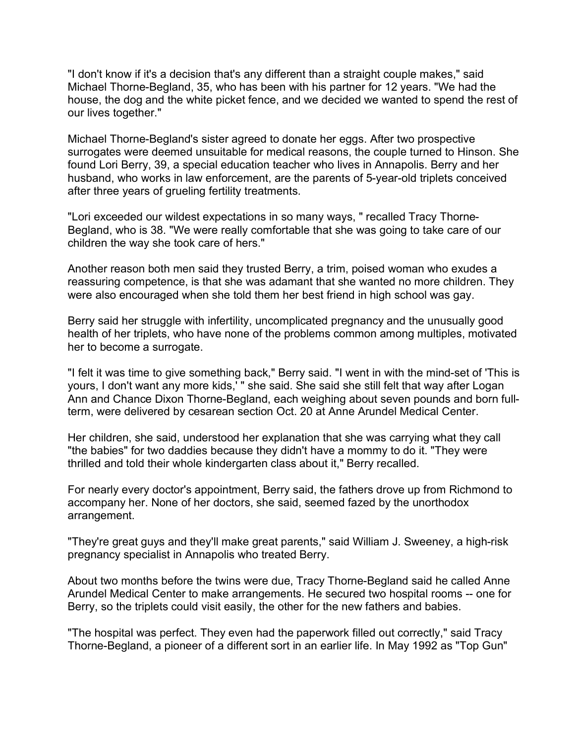"I don't know if it's a decision that's any different than a straight couple makes," said Michael Thorne-Begland, 35, who has been with his partner for 12 years. "We had the house, the dog and the white picket fence, and we decided we wanted to spend the rest of our lives together."

Michael Thorne-Begland's sister agreed to donate her eggs. After two prospective surrogates were deemed unsuitable for medical reasons, the couple turned to Hinson. She found Lori Berry, 39, a special education teacher who lives in Annapolis. Berry and her husband, who works in law enforcement, are the parents of 5-year-old triplets conceived after three years of grueling fertility treatments.

"Lori exceeded our wildest expectations in so many ways, " recalled Tracy Thorne-Begland, who is 38. "We were really comfortable that she was going to take care of our children the way she took care of hers."

Another reason both men said they trusted Berry, a trim, poised woman who exudes a reassuring competence, is that she was adamant that she wanted no more children. They were also encouraged when she told them her best friend in high school was gay.

Berry said her struggle with infertility, uncomplicated pregnancy and the unusually good health of her triplets, who have none of the problems common among multiples, motivated her to become a surrogate.

"I felt it was time to give something back," Berry said. "I went in with the mind-set of 'This is yours, I don't want any more kids,' " she said. She said she still felt that way after Logan Ann and Chance Dixon Thorne-Begland, each weighing about seven pounds and born fullterm, were delivered by cesarean section Oct. 20 at Anne Arundel Medical Center.

Her children, she said, understood her explanation that she was carrying what they call "the babies" for two daddies because they didn't have a mommy to do it. "They were thrilled and told their whole kindergarten class about it," Berry recalled.

For nearly every doctor's appointment, Berry said, the fathers drove up from Richmond to accompany her. None of her doctors, she said, seemed fazed by the unorthodox arrangement.

"They're great guys and they'll make great parents," said William J. Sweeney, a high-risk pregnancy specialist in Annapolis who treated Berry.

About two months before the twins were due, Tracy Thorne-Begland said he called Anne Arundel Medical Center to make arrangements. He secured two hospital rooms -- one for Berry, so the triplets could visit easily, the other for the new fathers and babies.

"The hospital was perfect. They even had the paperwork filled out correctly," said Tracy Thorne-Begland, a pioneer of a different sort in an earlier life. In May 1992 as "Top Gun"